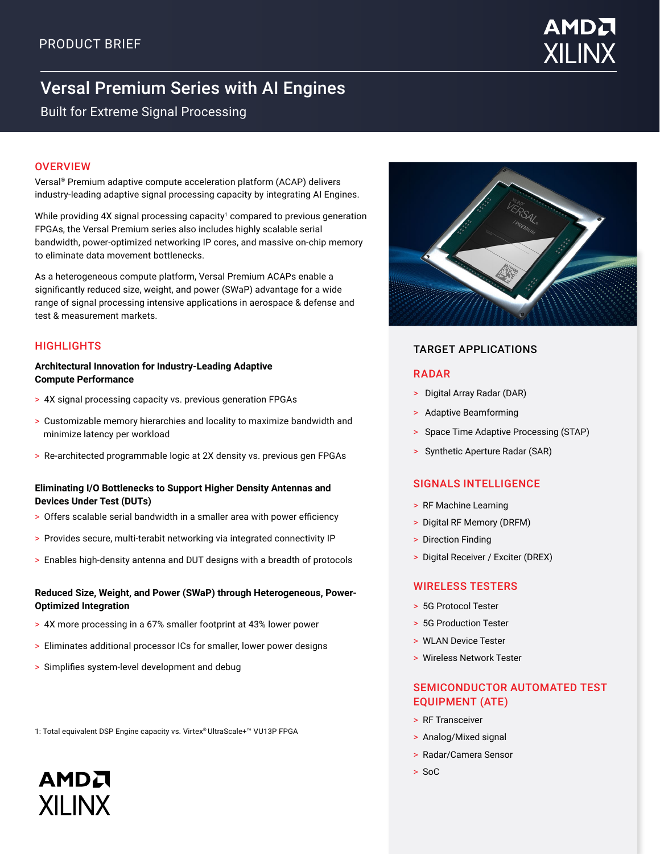

# Versal Premium Series with AI Engines

Built for Extreme Signal Processing

#### **OVERVIEW**

Versal® Premium adaptive compute acceleration platform (ACAP) delivers industry-leading adaptive signal processing capacity by integrating AI Engines.

While providing 4X signal processing capacity<sup>1</sup> compared to previous generation FPGAs, the Versal Premium series also includes highly scalable serial bandwidth, power-optimized networking IP cores, and massive on-chip memory to eliminate data movement bottlenecks.

As a heterogeneous compute platform, Versal Premium ACAPs enable a significantly reduced size, weight, and power (SWaP) advantage for a wide range of signal processing intensive applications in aerospace & defense and test & measurement markets.

#### **Architectural Innovation for Industry-Leading Adaptive Compute Performance**

- > 4X signal processing capacity vs. previous generation FPGAs
- > Customizable memory hierarchies and locality to maximize bandwidth and minimize latency per workload
- > Re-architected programmable logic at 2X density vs. previous gen FPGAs

#### **Eliminating I/O Bottlenecks to Support Higher Density Antennas and Devices Under Test (DUTs)**

- > Offers scalable serial bandwidth in a smaller area with power efficiency
- > Provides secure, multi-terabit networking via integrated connectivity IP
- > Enables high-density antenna and DUT designs with a breadth of protocols

#### **Reduced Size, Weight, and Power (SWaP) through Heterogeneous, Power-Optimized Integration**

- > 4X more processing in a 67% smaller footprint at 43% lower power
- > Eliminates additional processor ICs for smaller, lower power designs
- > Simplifies system-level development and debug

**AMDA** 

**XII INX** 

1: Total equivalent DSP Engine capacity vs. Virtex® UltraScale+™ VU13P FPGA

## HIGHLIGHTS TARGET APPLICATIONS

#### RADAR

- > Digital Array Radar (DAR)
- > Adaptive Beamforming
- > Space Time Adaptive Processing (STAP)
- > Synthetic Aperture Radar (SAR)

#### SIGNALS INTELLIGENCE

- > RF Machine Learning
- > Digital RF Memory (DRFM)
- > Direction Finding
- > Digital Receiver / Exciter (DREX)

#### WIRELESS TESTERS

- > 5G Protocol Tester
- > 5G Production Tester
- > WLAN Device Tester
- > Wireless Network Tester

#### SEMICONDUCTOR AUTOMATED TEST EQUIPMENT (ATE)

- > RF Transceiver
- > Analog/Mixed signal
- > Radar/Camera Sensor
- > SoC